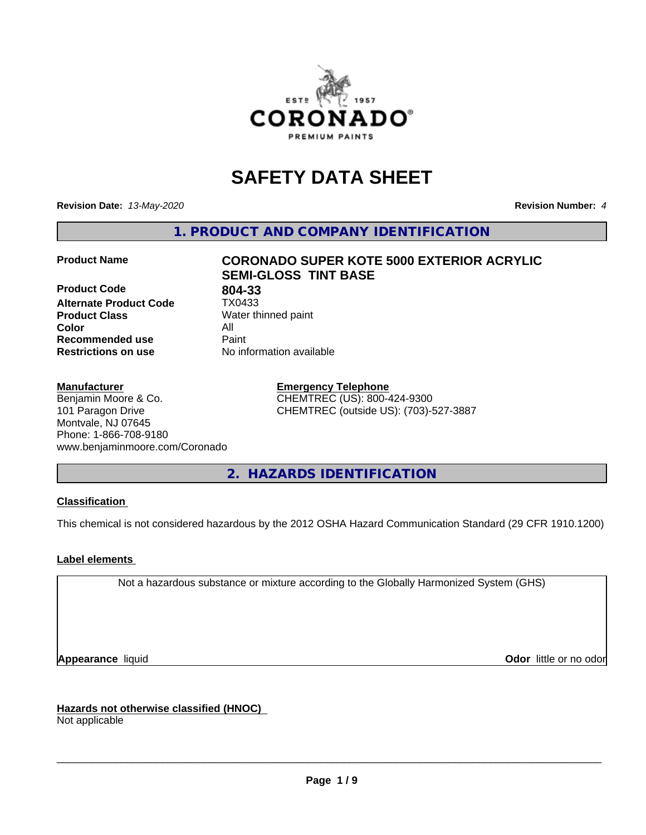

# **SAFETY DATA SHEET**

**Revision Date:** *13-May-2020* **Revision Number:** *4*

**1. PRODUCT AND COMPANY IDENTIFICATION**

**Product Code 804-33**<br>**Alternate Product Code 1X0433 Alternate Product Code Product Class** Water thinned paint<br> **Color** All **Color** All **Restrictions on use** 

# **Product Name CORONADO SUPER KOTE 5000 EXTERIOR ACRYLIC SEMI-GLOSS TINT BASE**

**Recommended use** Paint<br> **Restrictions on use** Mo information available

#### **Manufacturer**

Benjamin Moore & Co. 101 Paragon Drive Montvale, NJ 07645 Phone: 1-866-708-9180 www.benjaminmoore.com/Coronado

#### **Emergency Telephone** CHEMTREC (US): 800-424-9300 CHEMTREC (outside US): (703)-527-3887

**2. HAZARDS IDENTIFICATION**

#### **Classification**

This chemical is not considered hazardous by the 2012 OSHA Hazard Communication Standard (29 CFR 1910.1200)

#### **Label elements**

Not a hazardous substance or mixture according to the Globally Harmonized System (GHS)

**Appearance** liquid **Contract Contract Contract Contract Contract Contract Contract Contract Contract Contract Contract Contract Contract Contract Contract Contract Contract Contract Contract Contract Contract Contract Con** 

**Hazards not otherwise classified (HNOC)**

Not applicable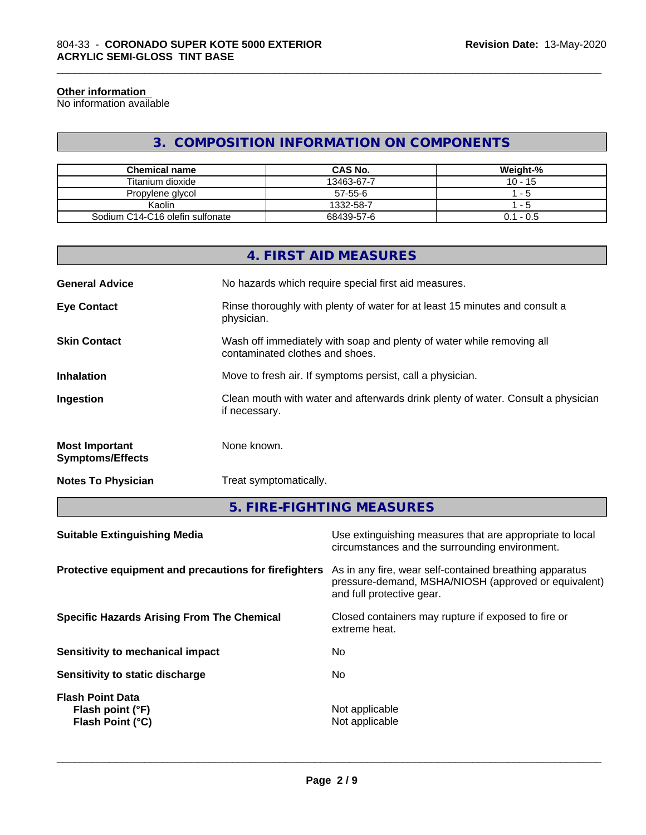#### **Other information**

No information available

# **3. COMPOSITION INFORMATION ON COMPONENTS**

\_\_\_\_\_\_\_\_\_\_\_\_\_\_\_\_\_\_\_\_\_\_\_\_\_\_\_\_\_\_\_\_\_\_\_\_\_\_\_\_\_\_\_\_\_\_\_\_\_\_\_\_\_\_\_\_\_\_\_\_\_\_\_\_\_\_\_\_\_\_\_\_\_\_\_\_\_\_\_\_\_\_\_\_\_\_\_\_\_\_\_\_\_

| <b>Chemical name</b>            | <b>CAS No.</b> | Weight-%    |
|---------------------------------|----------------|-------------|
| Titanium dioxide                | 13463-67-7     | $10 - 15$   |
| Propylene glycol                | 57-55-6        | - 5         |
| Kaolin                          | 1332-58-7      | - 5         |
| Sodium C14-C16 olefin sulfonate | 68439-57-6     | $0.1 - 0.5$ |

|                                                  | 4. FIRST AID MEASURES                                                                                    |
|--------------------------------------------------|----------------------------------------------------------------------------------------------------------|
| <b>General Advice</b>                            | No hazards which require special first aid measures.                                                     |
| <b>Eye Contact</b>                               | Rinse thoroughly with plenty of water for at least 15 minutes and consult a<br>physician.                |
| <b>Skin Contact</b>                              | Wash off immediately with soap and plenty of water while removing all<br>contaminated clothes and shoes. |
| <b>Inhalation</b>                                | Move to fresh air. If symptoms persist, call a physician.                                                |
| Ingestion                                        | Clean mouth with water and afterwards drink plenty of water. Consult a physician<br>if necessary.        |
| <b>Most Important</b><br><b>Symptoms/Effects</b> | None known.                                                                                              |
| <b>Notes To Physician</b>                        | Treat symptomatically.                                                                                   |

**5. FIRE-FIGHTING MEASURES**

| <b>Suitable Extinguishing Media</b>                             | Use extinguishing measures that are appropriate to local<br>circumstances and the surrounding environment.                                   |
|-----------------------------------------------------------------|----------------------------------------------------------------------------------------------------------------------------------------------|
| Protective equipment and precautions for firefighters           | As in any fire, wear self-contained breathing apparatus<br>pressure-demand, MSHA/NIOSH (approved or equivalent)<br>and full protective gear. |
| <b>Specific Hazards Arising From The Chemical</b>               | Closed containers may rupture if exposed to fire or<br>extreme heat.                                                                         |
| Sensitivity to mechanical impact                                | No.                                                                                                                                          |
| Sensitivity to static discharge                                 | No.                                                                                                                                          |
| <b>Flash Point Data</b><br>Flash point (°F)<br>Flash Point (°C) | Not applicable<br>Not applicable                                                                                                             |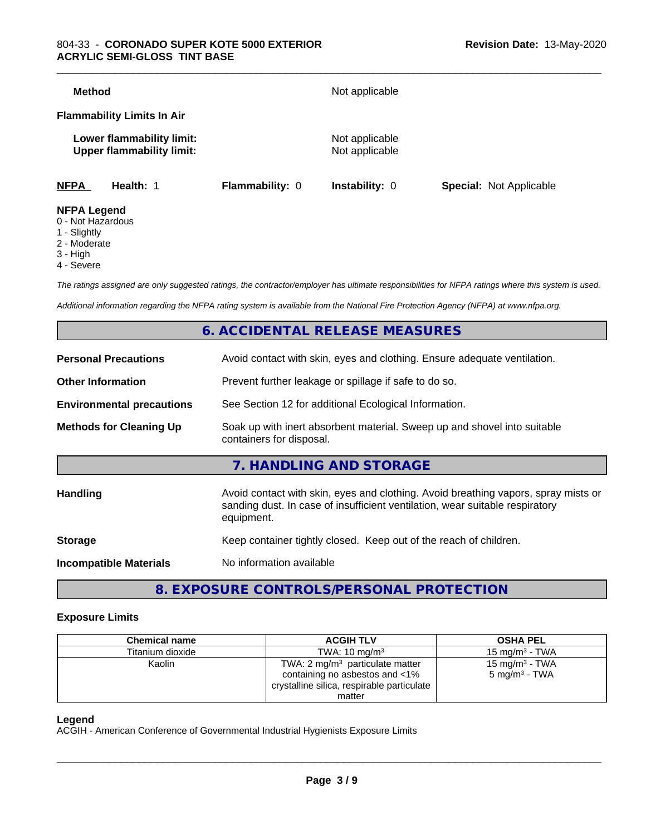| <b>NFPA</b><br>Health: 1                                      |                        |                                  |                                |
|---------------------------------------------------------------|------------------------|----------------------------------|--------------------------------|
|                                                               | <b>Flammability: 0</b> | Instability: 0                   | <b>Special: Not Applicable</b> |
| Lower flammability limit:<br><b>Upper flammability limit:</b> |                        | Not applicable<br>Not applicable |                                |
| <b>Flammability Limits In Air</b>                             |                        |                                  |                                |
| <b>Method</b>                                                 |                        | Not applicable                   |                                |

- 0 Not Hazardous
- 1 Slightly
- 2 Moderate
- 3 High
- 4 Severe

*The ratings assigned are only suggested ratings, the contractor/employer has ultimate responsibilities for NFPA ratings where this system is used.*

*Additional information regarding the NFPA rating system is available from the National Fire Protection Agency (NFPA) at www.nfpa.org.*

## **6. ACCIDENTAL RELEASE MEASURES**

| <b>Personal Precautions</b>      | Avoid contact with skin, eyes and clothing. Ensure adequate ventilation.                                                                                                         |
|----------------------------------|----------------------------------------------------------------------------------------------------------------------------------------------------------------------------------|
| <b>Other Information</b>         | Prevent further leakage or spillage if safe to do so.                                                                                                                            |
| <b>Environmental precautions</b> | See Section 12 for additional Ecological Information.                                                                                                                            |
| <b>Methods for Cleaning Up</b>   | Soak up with inert absorbent material. Sweep up and shovel into suitable<br>containers for disposal.                                                                             |
|                                  | 7. HANDLING AND STORAGE                                                                                                                                                          |
| <b>Handling</b>                  | Avoid contact with skin, eyes and clothing. Avoid breathing vapors, spray mists or<br>sanding dust. In case of insufficient ventilation, wear suitable respiratory<br>equipment. |
| <b>Storage</b>                   | Keep container tightly closed. Keep out of the reach of children.                                                                                                                |
| <b>Incompatible Materials</b>    | No information available                                                                                                                                                         |
|                                  |                                                                                                                                                                                  |

# **8. EXPOSURE CONTROLS/PERSONAL PROTECTION**

#### **Exposure Limits**

| <b>Chemical name</b> | <b>ACGIH TLV</b>                                                                                                           | <b>OSHA PEL</b>                               |
|----------------------|----------------------------------------------------------------------------------------------------------------------------|-----------------------------------------------|
| Titanium dioxide     | TWA: $10 \text{ mg/m}^3$                                                                                                   | 15 mg/m $3$ - TWA                             |
| Kaolin               | TWA: $2 \text{ mg/m}^3$ particulate matter<br>containing no asbestos and <1%<br>crystalline silica, respirable particulate | 15 mg/m $3$ - TWA<br>$5 \text{ mg/m}^3$ - TWA |
|                      | matter                                                                                                                     |                                               |

#### **Legend**

ACGIH - American Conference of Governmental Industrial Hygienists Exposure Limits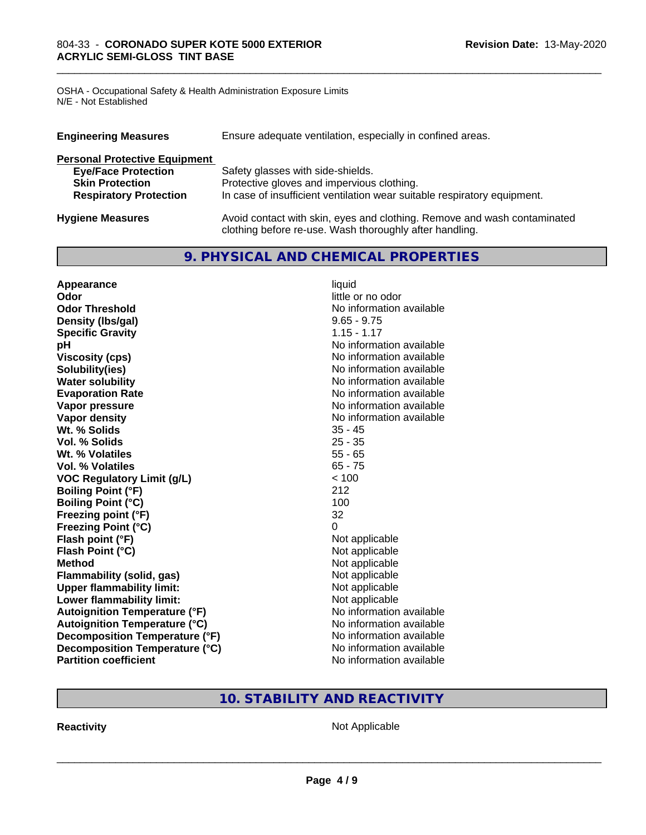OSHA - Occupational Safety & Health Administration Exposure Limits N/E - Not Established

| <b>Engineering Measures</b>          | Ensure adequate ventilation, especially in confined areas.                                                                          |
|--------------------------------------|-------------------------------------------------------------------------------------------------------------------------------------|
| <b>Personal Protective Equipment</b> |                                                                                                                                     |
| <b>Eye/Face Protection</b>           | Safety glasses with side-shields.                                                                                                   |
| <b>Skin Protection</b>               | Protective gloves and impervious clothing.                                                                                          |
| <b>Respiratory Protection</b>        | In case of insufficient ventilation wear suitable respiratory equipment.                                                            |
| <b>Hygiene Measures</b>              | Avoid contact with skin, eyes and clothing. Remove and wash contaminated<br>clothing before re-use. Wash thoroughly after handling. |

\_\_\_\_\_\_\_\_\_\_\_\_\_\_\_\_\_\_\_\_\_\_\_\_\_\_\_\_\_\_\_\_\_\_\_\_\_\_\_\_\_\_\_\_\_\_\_\_\_\_\_\_\_\_\_\_\_\_\_\_\_\_\_\_\_\_\_\_\_\_\_\_\_\_\_\_\_\_\_\_\_\_\_\_\_\_\_\_\_\_\_\_\_

## **9. PHYSICAL AND CHEMICAL PROPERTIES**

| Appearance                           | liquid                   |
|--------------------------------------|--------------------------|
| Odor                                 | little or no odor        |
| <b>Odor Threshold</b>                | No information available |
| Density (Ibs/gal)                    | $9.65 - 9.75$            |
| <b>Specific Gravity</b>              | $1.15 - 1.17$            |
| pH                                   | No information available |
| <b>Viscosity (cps)</b>               | No information available |
| Solubility(ies)                      | No information available |
| <b>Water solubility</b>              | No information available |
| <b>Evaporation Rate</b>              | No information available |
| Vapor pressure                       | No information available |
| <b>Vapor density</b>                 | No information available |
| Wt. % Solids                         | $35 - 45$                |
| <b>Vol. % Solids</b>                 | $25 - 35$                |
| Wt. % Volatiles                      | $55 - 65$                |
| <b>Vol. % Volatiles</b>              | $65 - 75$                |
| <b>VOC Regulatory Limit (g/L)</b>    | < 100                    |
| <b>Boiling Point (°F)</b>            | 212                      |
| <b>Boiling Point (°C)</b>            | 100                      |
| Freezing point (°F)                  | 32                       |
| <b>Freezing Point (°C)</b>           | $\Omega$                 |
| Flash point (°F)                     | Not applicable           |
| Flash Point (°C)                     | Not applicable           |
| <b>Method</b>                        | Not applicable           |
| <b>Flammability (solid, gas)</b>     | Not applicable           |
| <b>Upper flammability limit:</b>     | Not applicable           |
| Lower flammability limit:            | Not applicable           |
| <b>Autoignition Temperature (°F)</b> | No information available |
| <b>Autoignition Temperature (°C)</b> | No information available |
| Decomposition Temperature (°F)       | No information available |
| Decomposition Temperature (°C)       | No information available |
| <b>Partition coefficient</b>         | No information available |

# **10. STABILITY AND REACTIVITY**

**Reactivity Not Applicable** Not Applicable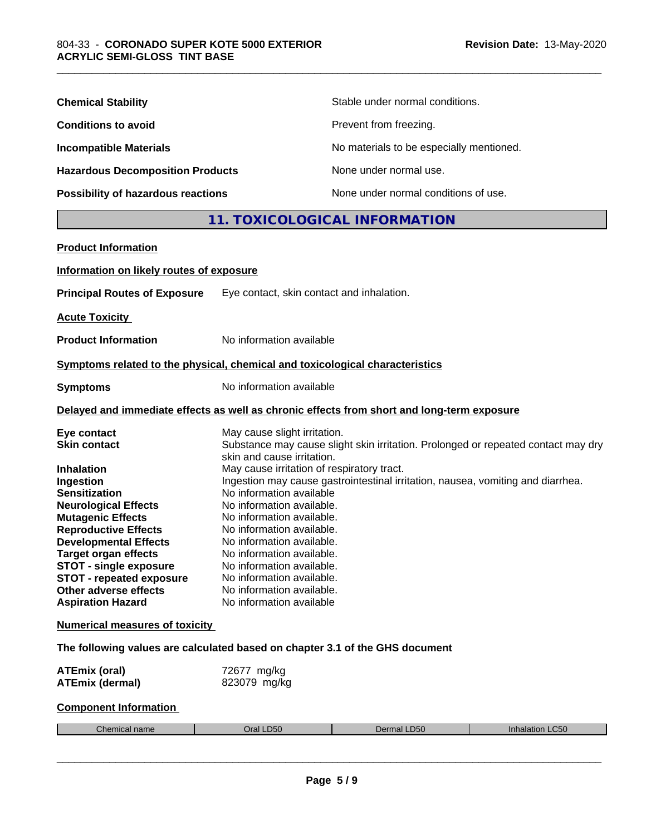| <b>Chemical Stability</b>               | Stable under normal conditions.          |
|-----------------------------------------|------------------------------------------|
| <b>Conditions to avoid</b>              | Prevent from freezing.                   |
| <b>Incompatible Materials</b>           | No materials to be especially mentioned. |
| <b>Hazardous Decomposition Products</b> | None under normal use.                   |
| Possibility of hazardous reactions      | None under normal conditions of use.     |

# **11. TOXICOLOGICAL INFORMATION**

| <b>Product Information</b>               |                                                                                            |
|------------------------------------------|--------------------------------------------------------------------------------------------|
| Information on likely routes of exposure |                                                                                            |
| <b>Principal Routes of Exposure</b>      | Eye contact, skin contact and inhalation.                                                  |
| <b>Acute Toxicity</b>                    |                                                                                            |
| <b>Product Information</b>               | No information available                                                                   |
|                                          | Symptoms related to the physical, chemical and toxicological characteristics               |
| <b>Symptoms</b>                          | No information available                                                                   |
|                                          | Delayed and immediate effects as well as chronic effects from short and long-term exposure |
| Eye contact                              | May cause slight irritation.                                                               |
| <b>Skin contact</b>                      | Substance may cause slight skin irritation. Prolonged or repeated contact may dry          |
|                                          | skin and cause irritation.                                                                 |
| <b>Inhalation</b>                        | May cause irritation of respiratory tract.                                                 |
| Ingestion                                | Ingestion may cause gastrointestinal irritation, nausea, vomiting and diarrhea.            |
| <b>Sensitization</b>                     | No information available                                                                   |
| <b>Neurological Effects</b>              | No information available.                                                                  |
| <b>Mutagenic Effects</b>                 | No information available.                                                                  |
| <b>Reproductive Effects</b>              | No information available.                                                                  |
| <b>Developmental Effects</b>             | No information available.                                                                  |
| <b>Target organ effects</b>              | No information available.                                                                  |
| <b>STOT - single exposure</b>            | No information available.                                                                  |
| <b>STOT - repeated exposure</b>          | No information available.                                                                  |
| Other adverse effects                    | No information available.                                                                  |
| <b>Aspiration Hazard</b>                 | No information available                                                                   |
| <b>Numerical measures of toxicity</b>    |                                                                                            |
|                                          | The following values are calculated based on chapter 3.1 of the GHS document               |
| <b>ATEmix (oral)</b>                     | 72677 mg/kg                                                                                |
| <b>ATEmix (dermal)</b>                   | 823079 mg/kg                                                                               |
| <b>Component Information</b>             |                                                                                            |

| ™ham.<br>name<br>$-1100$ | D50<br>Jral | $-125$<br>$\sim$<br>DSU | $\_C50$<br>ירורמת<br>ınr<br>ualdl |
|--------------------------|-------------|-------------------------|-----------------------------------|
|                          |             |                         |                                   |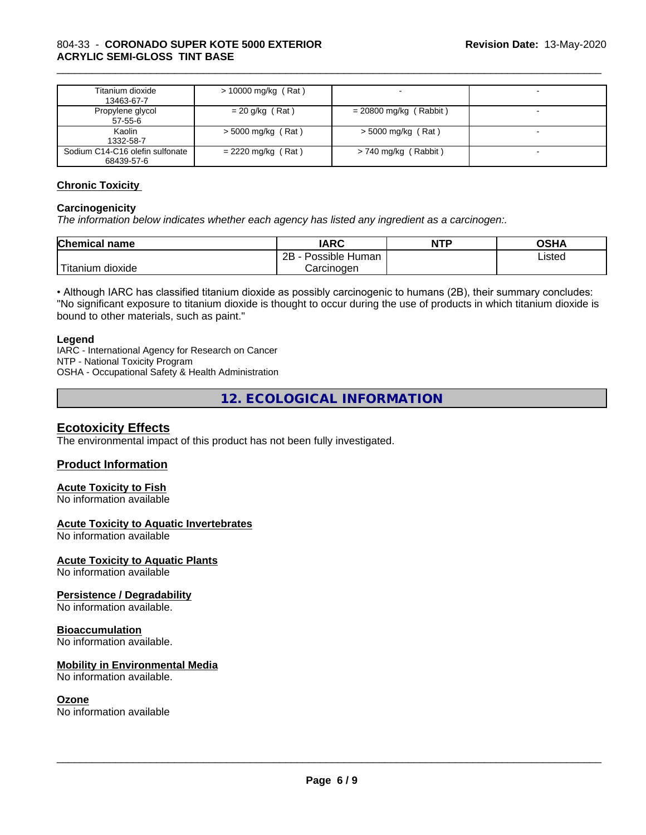#### 804-33 - **CORONADO SUPER KOTE 5000 EXTERIOR ACRYLIC SEMI-GLOSS TINT BASE**

| Titanium dioxide<br>13463-67-7                | $> 10000$ mg/kg (Rat) |                          | - |
|-----------------------------------------------|-----------------------|--------------------------|---|
| Propylene glycol<br>57-55-6                   | $= 20$ g/kg (Rat)     | $= 20800$ mg/kg (Rabbit) | - |
| Kaolin<br>1332-58-7                           | $>$ 5000 mg/kg (Rat)  | $>$ 5000 mg/kg (Rat)     |   |
| Sodium C14-C16 olefin sulfonate<br>68439-57-6 | $= 2220$ mg/kg (Rat)  | $> 740$ mg/kg (Rabbit)   |   |

\_\_\_\_\_\_\_\_\_\_\_\_\_\_\_\_\_\_\_\_\_\_\_\_\_\_\_\_\_\_\_\_\_\_\_\_\_\_\_\_\_\_\_\_\_\_\_\_\_\_\_\_\_\_\_\_\_\_\_\_\_\_\_\_\_\_\_\_\_\_\_\_\_\_\_\_\_\_\_\_\_\_\_\_\_\_\_\_\_\_\_\_\_

#### **Chronic Toxicity**

#### **Carcinogenicity**

*The information below indicateswhether each agency has listed any ingredient as a carcinogen:.*

| <b>Chemical name</b>                        | <b>IARC</b>                           | <b>NTP</b> | <b>OCUA</b><br>∍וחט |
|---------------------------------------------|---------------------------------------|------------|---------------------|
|                                             | . .<br>ם מ<br>Possible<br>Humar<br>∠⊡ |            | Listed              |
| $\sim$<br>.<br>dioxide ו<br><b>Titanium</b> | Carcinoɑen                            |            |                     |

• Although IARC has classified titanium dioxide as possibly carcinogenic to humans (2B), their summary concludes: "No significant exposure to titanium dioxide is thought to occur during the use of products in which titanium dioxide is bound to other materials, such as paint."

#### **Legend**

IARC - International Agency for Research on Cancer NTP - National Toxicity Program OSHA - Occupational Safety & Health Administration

**12. ECOLOGICAL INFORMATION**

#### **Ecotoxicity Effects**

The environmental impact of this product has not been fully investigated.

#### **Product Information**

#### **Acute Toxicity to Fish**

No information available

#### **Acute Toxicity to Aquatic Invertebrates**

No information available

#### **Acute Toxicity to Aquatic Plants**

No information available

#### **Persistence / Degradability**

No information available.

#### **Bioaccumulation**

No information available.

#### **Mobility in Environmental Media**

No information available.

#### **Ozone**

No information available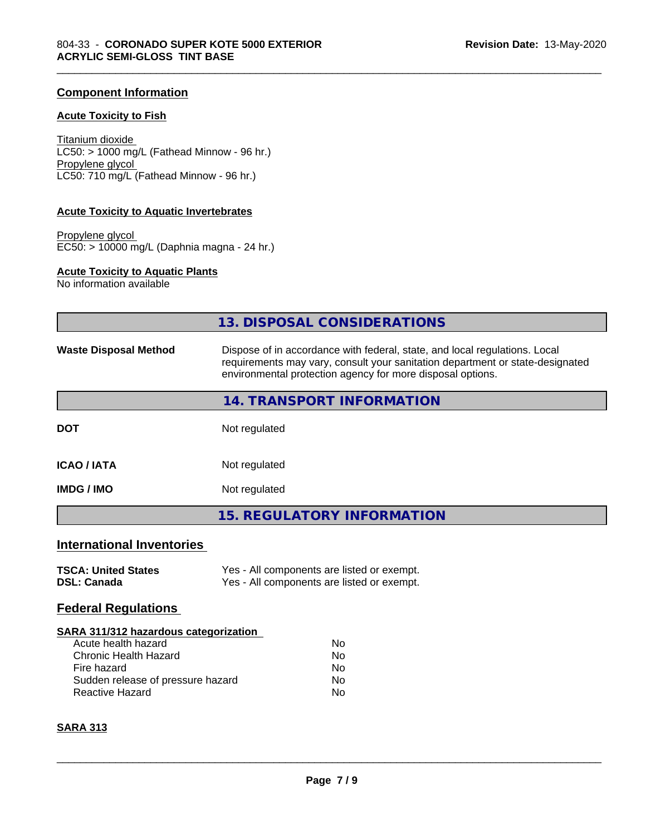#### **Component Information**

#### **Acute Toxicity to Fish**

Titanium dioxide  $LC50: > 1000$  mg/L (Fathead Minnow - 96 hr.) Propylene glycol LC50: 710 mg/L (Fathead Minnow - 96 hr.)

#### **Acute Toxicity to Aquatic Invertebrates**

Propylene glycol EC50: > 10000 mg/L (Daphnia magna - 24 hr.)

#### **Acute Toxicity to Aquatic Plants**

No information available

|                                                  | <b>13. DISPOSAL CONSIDERATIONS</b>                                                                                                                                                                                        |  |  |
|--------------------------------------------------|---------------------------------------------------------------------------------------------------------------------------------------------------------------------------------------------------------------------------|--|--|
| <b>Waste Disposal Method</b>                     | Dispose of in accordance with federal, state, and local regulations. Local<br>requirements may vary, consult your sanitation department or state-designated<br>environmental protection agency for more disposal options. |  |  |
|                                                  | 14. TRANSPORT INFORMATION                                                                                                                                                                                                 |  |  |
| <b>DOT</b>                                       | Not regulated                                                                                                                                                                                                             |  |  |
| <b>ICAO / IATA</b>                               | Not regulated                                                                                                                                                                                                             |  |  |
| <b>IMDG / IMO</b>                                | Not regulated                                                                                                                                                                                                             |  |  |
|                                                  | <b>15. REGULATORY INFORMATION</b>                                                                                                                                                                                         |  |  |
| <b>International Inventories</b>                 |                                                                                                                                                                                                                           |  |  |
| <b>TSCA: United States</b><br><b>DSL: Canada</b> | Yes - All components are listed or exempt.<br>Yes - All components are listed or exempt.                                                                                                                                  |  |  |
| <b>Federal Regulations</b>                       |                                                                                                                                                                                                                           |  |  |
| SARA 311/312 hazardous categorization            |                                                                                                                                                                                                                           |  |  |
| Acute health hazard                              | No                                                                                                                                                                                                                        |  |  |
| <b>Chronic Health Hazard</b>                     | No                                                                                                                                                                                                                        |  |  |
| Fire hazard                                      | <b>No</b>                                                                                                                                                                                                                 |  |  |
| Sudden release of pressure hazard                | No.                                                                                                                                                                                                                       |  |  |
| <b>Reactive Hazard</b>                           | No                                                                                                                                                                                                                        |  |  |
|                                                  |                                                                                                                                                                                                                           |  |  |
| <b>SARA 313</b>                                  |                                                                                                                                                                                                                           |  |  |

\_\_\_\_\_\_\_\_\_\_\_\_\_\_\_\_\_\_\_\_\_\_\_\_\_\_\_\_\_\_\_\_\_\_\_\_\_\_\_\_\_\_\_\_\_\_\_\_\_\_\_\_\_\_\_\_\_\_\_\_\_\_\_\_\_\_\_\_\_\_\_\_\_\_\_\_\_\_\_\_\_\_\_\_\_\_\_\_\_\_\_\_\_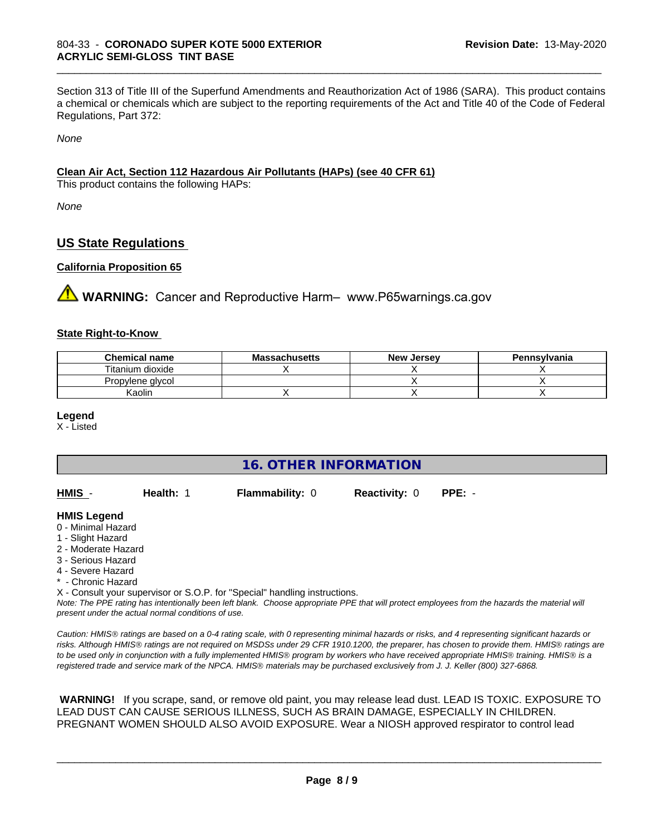Section 313 of Title III of the Superfund Amendments and Reauthorization Act of 1986 (SARA). This product contains a chemical or chemicals which are subject to the reporting requirements of the Act and Title 40 of the Code of Federal Regulations, Part 372:

\_\_\_\_\_\_\_\_\_\_\_\_\_\_\_\_\_\_\_\_\_\_\_\_\_\_\_\_\_\_\_\_\_\_\_\_\_\_\_\_\_\_\_\_\_\_\_\_\_\_\_\_\_\_\_\_\_\_\_\_\_\_\_\_\_\_\_\_\_\_\_\_\_\_\_\_\_\_\_\_\_\_\_\_\_\_\_\_\_\_\_\_\_

*None*

#### **Clean Air Act,Section 112 Hazardous Air Pollutants (HAPs) (see 40 CFR 61)**

This product contains the following HAPs:

*None*

#### **US State Regulations**

#### **California Proposition 65**

**AVIMARNING:** Cancer and Reproductive Harm– www.P65warnings.ca.gov

#### **State Right-to-Know**

| <b>Chemical name</b> | <b>Massachusetts</b> | <b>New Jersey</b> | Pennsylvania |
|----------------------|----------------------|-------------------|--------------|
| Titanium dioxide     |                      |                   |              |
| Propylene alvcol     |                      |                   |              |
| Kaolin               |                      |                   |              |

#### **Legend**

X - Listed

## **16. OTHER INFORMATION**

| $HMIS -$                                                      | Health: 1 | <b>Flammability:</b> 0 | <b>Reactivity: 0</b> | $PPE: -$ |
|---------------------------------------------------------------|-----------|------------------------|----------------------|----------|
| <b>HMIS Legend</b><br>0 - Minimal Hazard<br>1 - Slight Hazard |           |                        |                      |          |

- 
- 2 Moderate Hazard
- 3 Serious Hazard
- 4 Severe Hazard
- \* Chronic Hazard
- X Consult your supervisor or S.O.P. for "Special" handling instructions.

*Note: The PPE rating has intentionally been left blank. Choose appropriate PPE that will protect employees from the hazards the material will present under the actual normal conditions of use.*

*Caution: HMISÒ ratings are based on a 0-4 rating scale, with 0 representing minimal hazards or risks, and 4 representing significant hazards or risks. Although HMISÒ ratings are not required on MSDSs under 29 CFR 1910.1200, the preparer, has chosen to provide them. HMISÒ ratings are to be used only in conjunction with a fully implemented HMISÒ program by workers who have received appropriate HMISÒ training. HMISÒ is a registered trade and service mark of the NPCA. HMISÒ materials may be purchased exclusively from J. J. Keller (800) 327-6868.*

 **WARNING!** If you scrape, sand, or remove old paint, you may release lead dust. LEAD IS TOXIC. EXPOSURE TO LEAD DUST CAN CAUSE SERIOUS ILLNESS, SUCH AS BRAIN DAMAGE, ESPECIALLY IN CHILDREN. PREGNANT WOMEN SHOULD ALSO AVOID EXPOSURE.Wear a NIOSH approved respirator to control lead